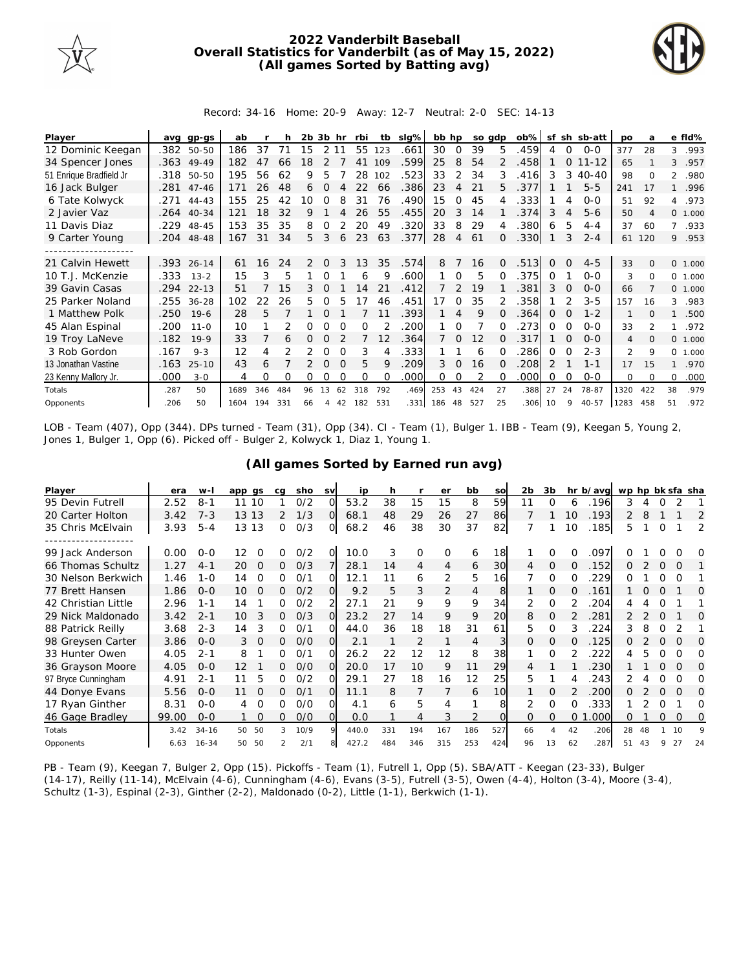

## **2022 Vanderbilt Baseball Overall Statistics for Vanderbilt (as of May 15, 2022) (All games Sorted by Batting avg)**



Record: 34-16 Home: 20-9 Away: 12-7 Neutral: 2-0 SEC: 14-13

| Player                  | ava  | ap-as      | ab   |     |     | 2b. | 3b hr    |          | rbi     | tb          | slg% | bb hp |              | so adp |          | $ob\%$ |          |                | sf sh sb-att | <b>DO</b>      | a              |                | e fld%   |
|-------------------------|------|------------|------|-----|-----|-----|----------|----------|---------|-------------|------|-------|--------------|--------|----------|--------|----------|----------------|--------------|----------------|----------------|----------------|----------|
| 12 Dominic Keegan       | .382 | 50-50      | 186  | 37  | 71  | 15  | 2 1 1    |          | 55      | 123         | .661 | 30    | $\Omega$     | 39     | 5.       | .459   | 4        | 0              | $0-0$        | 377            | 28             | 3              | .993     |
| 34 Spencer Jones        |      | .363 49-49 | 182  | 47  | 66  | 18  |          |          | 41      | 109         | .599 | 25    | 8            | 54     |          | .458   |          | $\Omega$       | $11 - 12$    | 65             |                | 3              | .957     |
| 51 Enrique Bradfield Jr | .318 | 50-50      | 195  | 56  | 62  | 9   | 5        |          | 28      | 102         | .523 | 33    | 2            | 34     | 3        | .416   | 3        | 3              | $40 - 40$    | 98             | $\Omega$       | $\overline{2}$ | .980     |
| 16 Jack Bulger          | .281 | $47 - 46$  | 171  | 26  | 48  | 6   | $\Omega$ | Δ        | 22      | 66          | .386 | 23    | 4            | 21     | 5.       | .377   |          |                | $5 - 5$      | 241            | 17             | $\mathbf{1}$   | .996     |
| 6 Tate Kolwyck          | .271 | $44 - 43$  | 155  | 25  | 42  | 10  | $\Omega$ | 8        | 31      | 76          | .490 | 15    | 0            | 45     |          | .333   |          | 4              | $0 - 0$      | 51             | 92             | 4              | .973     |
| 2 Javier Vaz            | .264 | $40 - 34$  | 121  | 18  | 32  | 9   |          |          | 26      | 55          | .455 | 20    | 3            | 14     |          | .374   | 3        | $\overline{4}$ | $5 - 6$      | 50             | 4              |                | 0, 1,000 |
| 11 Davis Diaz           | .229 | 48-45      | 153  | 35  | 35  | 8   | 0        |          | 20      | 49          | .320 | 33    | 8            | 29     | 4        | .380   | 6        | 5              | $4 - 4$      | 37             | 60             | $\overline{7}$ | .933     |
| 9 Carter Young          | .204 | 48-48      | 167  | 31  | 34  | 5   | 3        | 6        | 23      | 63          | .377 | 28    | 4            | 61     | Ω        | .330   |          | 3              | $2 - 4$      | 61             | 120            |                | 9 .953   |
|                         |      |            |      |     |     |     |          |          |         |             |      |       |              |        |          |        |          |                |              |                |                |                |          |
| 21 Calvin Hewett        |      | .393 26-14 | 61   | 16  | 24  | 2   | $\Omega$ | 3        | 13      | 35          | .574 | 8     |              | 16     | $\Omega$ | .513   | $\Omega$ | $\Omega$       | $4 - 5$      | 33             | $\Omega$       |                | 0 1.000  |
| 10 T.J. McKenzie        | .333 | $13 - 2$   | 15   | 3   | 5   |     |          |          | 6       | 9           | .600 |       | $\Omega$     | 5      |          | .375   | 0        |                | $0 - 0$      | 3              | 0              | $\Omega$       | 1.000    |
| 39 Gavin Casas          | .294 | $22 - 13$  | 51   |     | 15  | 3.  |          |          | 14      | 21          | .412 |       |              | 19     |          | 381    | 3        | $\Omega$       | $O - O$      | 66             |                |                | 0, 1,000 |
| 25 Parker Noland        | .255 | $36 - 28$  | 102  | 22  | 26  | 5.  | O        | 5        | -7      | 46          | .451 | 17    | $\Omega$     | 35     |          | 358    |          |                | $3 - 5$      | 157            | 16             | 3              | .983     |
| 1 Matthew Polk          | .250 | $19-6$     | 28   | 5   |     |     | 0        |          |         |             | .393 |       | 4            | 9      |          | .364   | 0        | O              | $1 - 2$      | $\mathbf{1}$   | $\Omega$       | 1              | .500     |
| 45 Alan Espinal         | .200 | $11 - 0$   | 10   |     | 2   | 0   |          | $\Omega$ | O       |             | 200  |       | $\Omega$     |        |          | 273    | 0        | $\Omega$       | $O-O$        | 33             | $\mathfrak{D}$ |                | .972     |
| 19 Troy LaNeve          | .182 | $19-9$     | 33   |     | 6   | 0   | 0        |          |         | 12          | .364 |       | <sup>o</sup> | 12     |          | 317    |          | $\Omega$       | $O - O$      | $\overline{4}$ | $\Omega$       |                | 0 1.000  |
| 3 Rob Gordon            | .167 | $9 - 3$    | 12   | 4   |     |     | 0        | $\Omega$ | 3       |             | .333 |       |              | 6      |          | 286    | $\Omega$ | Ω              | $2 - 3$      | 2              | 9              | 0              | 1.000    |
| 13 Jonathan Vastine     | .163 | $25 - 10$  | 43   | 6   |     |     | $\Omega$ | $\Omega$ | 5       | $\mathsf Q$ | .209 | 3     | $\Omega$     | 16     | O.       | .208   | 2        |                | $1 - 1$      | 17             | 15             | 1              | .970     |
| 23 Kenny Mallory Jr.    | .000 | $3 - 0$    | 4    | Ω   | O   | 0   |          |          | O       | $\Omega$    | .000 | 0     | 0            |        | 0        | .000   | 0        | $\Omega$       | $0 - 0$      | 0              | $\Omega$       | 0              | .000     |
| Totals                  | .287 | 50         | 1689 | 346 | 484 | 96  | 13       | 62       | 318     | 792         | .469 | 253   | 43           | 424    | 27       | .388   | 27       | 24             | 78-87        | 1320           | 422            | 38             | .979     |
| Opponents               | .206 | 50         | 1604 | 194 | 331 | 66  | 4        | 42       | 182 531 |             | .331 | 186   | 48           | 527    | 25       | .306   | 10       | 9              | $40 - 57$    | 1283           | 458            | 51             | .972     |

LOB - Team (407), Opp (344). DPs turned - Team (31), Opp (34). CI - Team (1), Bulger 1. IBB - Team (9), Keegan 5, Young 2, Jones 1, Bulger 1, Opp (6). Picked off - Bulger 2, Kolwyck 1, Diaz 1, Young 1.

|  |  | (All games Sorted by Earned run avg) |  |  |
|--|--|--------------------------------------|--|--|
|  |  |                                      |  |  |

| Player              | era   | $W -$     | app qs         | ca | sho  | <b>SV</b> | ip    | h   |                | er             | bb             | <b>SO</b> | 2b       | 3b             |              | hr b/avg | wp hp bk sfa sha |    |          |          |    |
|---------------------|-------|-----------|----------------|----|------|-----------|-------|-----|----------------|----------------|----------------|-----------|----------|----------------|--------------|----------|------------------|----|----------|----------|----|
| 95 Devin Futrell    | 2.52  | $8 - 1$   | 10<br>11       |    | 0/2  | $\Omega$  | 53.2  | 38  | 15             | 15             | 8              | 59        | 11       | O              | 6            | 196      | 3                |    |          |          |    |
| 20 Carter Holton    | 3.42  | $7 - 3$   | 13 13          | 2  | 1/3  | $\Omega$  | 68.1  | 48  | 29             | 26             | 27             | 86        |          |                | 10           | .193     | 2                | 8  |          |          | 2  |
| 35 Chris McElvain   | 3.93  | $5 - 4$   | 13 13          | 0  | O/3  | O         | 68.2  | 46  | 38             | 30             | 37             | 82        |          |                | 10           | .185     | 5                |    | $\Omega$ |          | 2  |
|                     |       |           |                |    |      |           |       |     |                |                |                |           |          |                |              |          |                  |    |          |          |    |
| 99 Jack Anderson    | 0.00  | $O - O$   | 12<br>Ω        | O  | 0/2  | $\Omega$  | 10.0  | 3   | 0              | $\Omega$       | 6              | 18        |          | Ω              | 0            | .097     |                  |    |          |          | O  |
| 66 Thomas Schultz   | 1.27  | $4 - 1$   | 20<br>$\Omega$ | 0  | O/3  |           | 28.1  | 14  | $\overline{4}$ | 4              | 6              | 30        | 4        | $\Omega$       | <sup>o</sup> | .152     | O.               |    | $\Omega$ | $\Omega$ |    |
| 30 Nelson Berkwich  | 1.46  | $1 - 0$   | 14<br>0        | 0  | 0/1  | Ω         | 12.1  | 11  | 6              | 2              | 5              | 16        |          | $\Omega$       |              | 229      | ∩                |    |          | ∩        |    |
| 77 Brett Hansen     | 1.86  | $0 - 0$   | 10<br>$\Omega$ | 0  | O/2  | Ω         | 9.2   | 5   | 3              | $\overline{2}$ | 4              | 8         |          | $\Omega$       | $\Omega$     | 161      |                  |    | $\Omega$ |          | Ω  |
| 42 Christian Little | 2.96  | $1 - 1$   | 14             | 0  | 0/2  |           | 27.1  | 21  | 9              | 9              | 9              | 34        | 2        | $\Omega$       |              | 204      | 4                |    | Ω        |          |    |
| 29 Nick Maldonado   | 3.42  | $2 - 1$   | 3<br>10        | Ω. | O/3  | Ω         | 23.2  | 27  | 14             | 9              | 9              | 20        | 8        | $\Omega$       |              | .281     |                  |    |          |          | O  |
| 88 Patrick Reilly   | 3.68  | $2 - 3$   | 3<br>14        | 0  | 0/1  | ∩         | 44.0  | 36  | 18             | 18             | 31             | 61        | 5.       | $\Omega$       | 3            | 224      | 3                |    | 0        |          |    |
| 98 Greysen Carter   | 3.86  | $0 - 0$   | $\Omega$<br>3  | 0  | O/O  | Ο         | 2.1   |     | 2              |                | $\overline{4}$ | 3         | $\Omega$ | $\overline{O}$ |              | 125      |                  |    | $\Omega$ | $\Omega$ | O  |
| 33 Hunter Owen      | 4.05  | $2 - 1$   | 8              | 0  | O/1  | O         | 26.2  | 22  | 12             | 12             | 8              | 38        |          | $\Omega$       |              | 222      | 4                | 5  | O        | 0        | Ω  |
| 36 Grayson Moore    | 4.05  | $0 - 0$   | 12             | 0  | O/O  | Ω         | 20.0  | 17  | 10             | 9              | 11             | 29        |          |                |              | 230      |                  |    | O        | $\Omega$ | O  |
| 97 Bryce Cunningham | 4.91  | $2 - 1$   | 11<br>5        | 0  | 0/2  |           | 29.1  | 27  | 18             | 16             | 12             | 25        | 5.       |                |              | 243      |                  |    | 0        |          | Ω  |
| 44 Donye Evans      | 5.56  | $0 - 0$   | $\Omega$<br>11 | 0  | 0/1  | Ω         | 11.1  | 8   | 7              |                | 6              | 10        |          | $\Omega$       |              | 200      | 0                |    | $\Omega$ |          | Ω  |
| 17 Ryan Ginther     | 8.31  | $0 - 0$   | 0<br>4         | 0  | O/O  | Ω         | 4.1   | 6   | 5              | 4              |                | 8         | 2        | $\Omega$       | 0            | 333      |                  |    | O        |          | Ω  |
| 46 Gage Bradley     | 99.00 | $0 - 0$   | $\Omega$       | 0  | O/O  | Ω         | 0.0   |     | 4              | 3              |                |           | $\Omega$ | $\Omega$       | $\Omega$     | .000     | 0                |    | $\Omega$ | $\Omega$ | Ω  |
| Totals              | 3.42  | $34 - 16$ | 50<br>50       | 3  | 10/9 | 9         | 440.0 | 331 | 194            | 167            | 186            | 527       | 66       | Δ              | 42           | .206     | 28               | 48 |          | 10       | Q  |
| Opponents           | 6.63  | $16 - 34$ | 50<br>50       |    | 2/1  |           | 427.2 | 484 | 346            | 315            | 253            | 424       | 96       | 13             | 62           | .287     | 51               | 43 |          | 27       | 24 |

PB - Team (9), Keegan 7, Bulger 2, Opp (15). Pickoffs - Team (1), Futrell 1, Opp (5). SBA/ATT - Keegan (23-33), Bulger (14-17), Reilly (11-14), McElvain (4-6), Cunningham (4-6), Evans (3-5), Futrell (3-5), Owen (4-4), Holton (3-4), Moore (3-4), Schultz (1-3), Espinal (2-3), Ginther (2-2), Maldonado (0-2), Little (1-1), Berkwich (1-1).